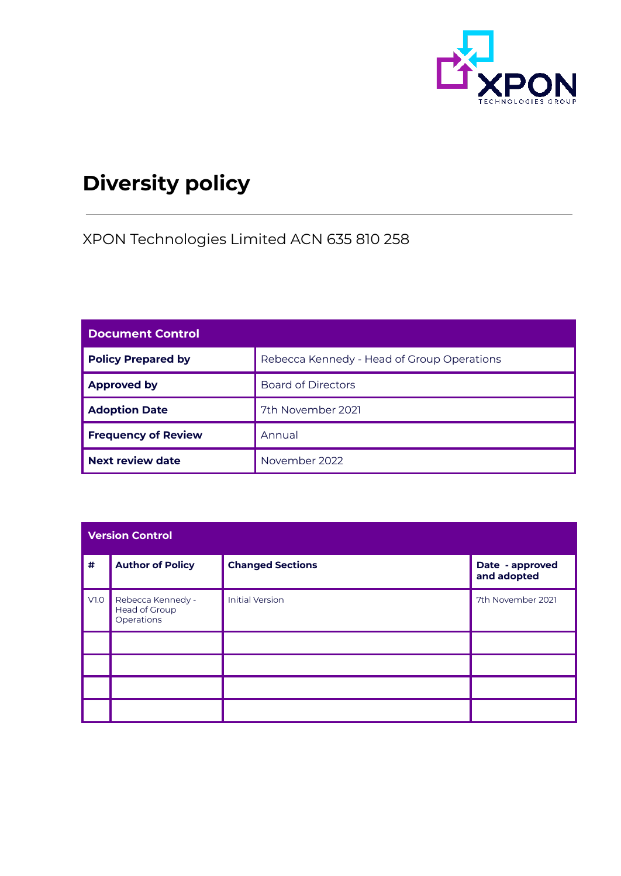

# **Diversity policy**

XPON Technologies Limited ACN 635 810 258

| <b>Document Control</b>    |                                            |  |
|----------------------------|--------------------------------------------|--|
| <b>Policy Prepared by</b>  | Rebecca Kennedy - Head of Group Operations |  |
| <b>Approved by</b>         | <b>Board of Directors</b>                  |  |
| <b>Adoption Date</b>       | 7th November 2021                          |  |
| <b>Frequency of Review</b> | Annual                                     |  |
| Next review date           | November 2022                              |  |

| <b>Version Control</b> |                                                  |                         |                                |  |
|------------------------|--------------------------------------------------|-------------------------|--------------------------------|--|
| $\#$                   | <b>Author of Policy</b>                          | <b>Changed Sections</b> | Date - approved<br>and adopted |  |
| V1.0                   | Rebecca Kennedy -<br>Head of Group<br>Operations | <b>Initial Version</b>  | 7th November 2021              |  |
|                        |                                                  |                         |                                |  |
|                        |                                                  |                         |                                |  |
|                        |                                                  |                         |                                |  |
|                        |                                                  |                         |                                |  |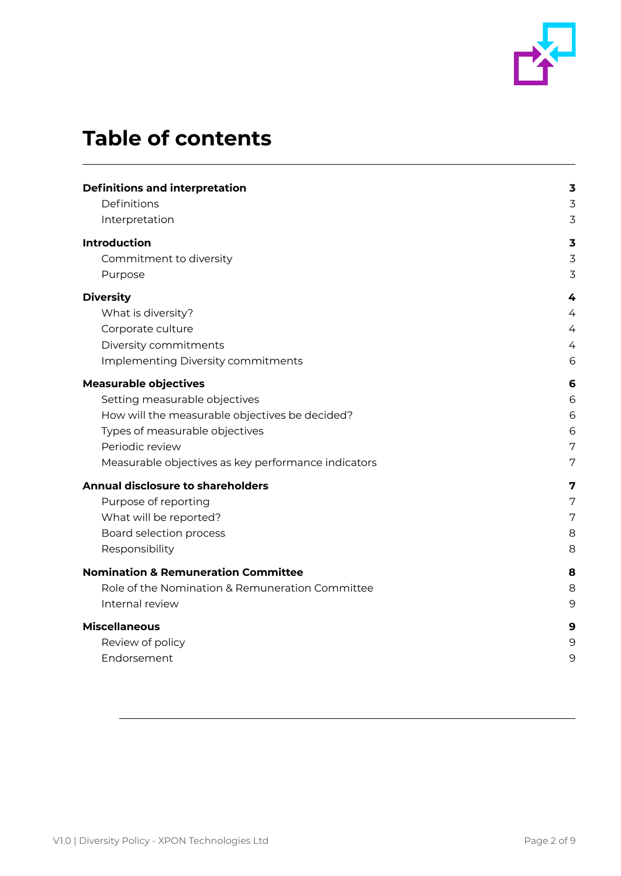

# **Table of contents**

| <b>Definitions and interpretation</b>               | $\overline{\mathbf{3}}$ |
|-----------------------------------------------------|-------------------------|
| Definitions                                         | 3                       |
| Interpretation                                      | 3                       |
| <b>Introduction</b>                                 | $\overline{\mathbf{3}}$ |
| Commitment to diversity                             | 3                       |
| Purpose                                             | 3                       |
| <b>Diversity</b>                                    | 4                       |
| What is diversity?                                  | $\overline{4}$          |
| Corporate culture                                   | $\overline{4}$          |
| Diversity commitments                               | 4                       |
| Implementing Diversity commitments                  | 6                       |
| <b>Measurable objectives</b>                        | 6                       |
| Setting measurable objectives                       | 6                       |
| How will the measurable objectives be decided?      | 6                       |
| Types of measurable objectives                      | 6                       |
| Periodic review                                     | 7                       |
| Measurable objectives as key performance indicators | 7                       |
| <b>Annual disclosure to shareholders</b>            | 7                       |
| Purpose of reporting                                | 7                       |
| What will be reported?                              | 7                       |
| Board selection process                             | 8                       |
| Responsibility                                      | 8                       |
|                                                     |                         |
| <b>Nomination &amp; Remuneration Committee</b>      | 8                       |
| Role of the Nomination & Remuneration Committee     | 8                       |
| Internal review                                     | 9                       |
| <b>Miscellaneous</b>                                | 9                       |
| Review of policy                                    | 9                       |
| Endorsement                                         | 9                       |
|                                                     |                         |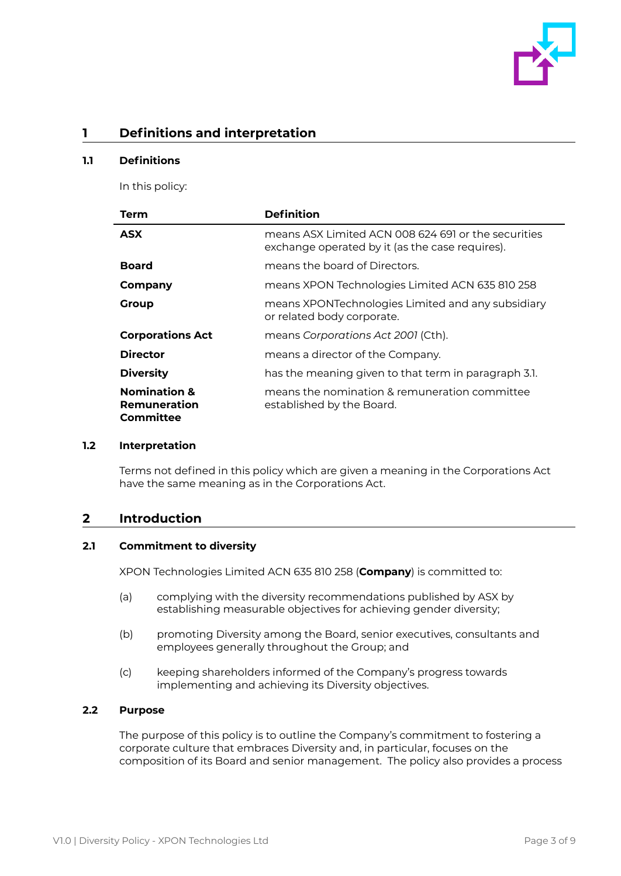

# <span id="page-2-0"></span>**1 Definitions and interpretation**

#### <span id="page-2-1"></span>**1.1 Definitions**

In this policy:

| Term                                                 | <b>Definition</b>                                                                                       |
|------------------------------------------------------|---------------------------------------------------------------------------------------------------------|
| <b>ASX</b>                                           | means ASX I imited ACN 008 624 691 or the securities<br>exchange operated by it (as the case requires). |
| <b>Board</b>                                         | means the board of Directors.                                                                           |
| Company                                              | means XPON Technologies Limited ACN 635 810 258                                                         |
| Group                                                | means XPONTechnologies Limited and any subsidiary<br>or related body corporate.                         |
| <b>Corporations Act</b>                              | means Corporations Act 2001 (Cth).                                                                      |
| <b>Director</b>                                      | means a director of the Company.                                                                        |
| <b>Diversity</b>                                     | has the meaning given to that term in paragraph 3.1.                                                    |
| <b>Nomination &amp;</b><br>Remuneration<br>Committee | means the nomination & remuneration committee<br>established by the Board.                              |

#### <span id="page-2-2"></span>**1.2 Interpretation**

Terms not defined in this policy which are given a meaning in the Corporations Act have the same meaning as in the Corporations Act.

## <span id="page-2-3"></span>**2 Introduction**

#### <span id="page-2-4"></span>**2.1 Commitment to diversity**

XPON Technologies Limited ACN 635 810 258 (**Company**) is committed to:

- (a) complying with the diversity recommendations published by ASX by establishing measurable objectives for achieving gender diversity;
- (b) promoting Diversity among the Board, senior executives, consultants and employees generally throughout the Group; and
- (c) keeping shareholders informed of the Company's progress towards implementing and achieving its Diversity objectives.

#### <span id="page-2-5"></span>**2.2 Purpose**

The purpose of this policy is to outline the Company's commitment to fostering a corporate culture that embraces Diversity and, in particular, focuses on the composition of its Board and senior management. The policy also provides a process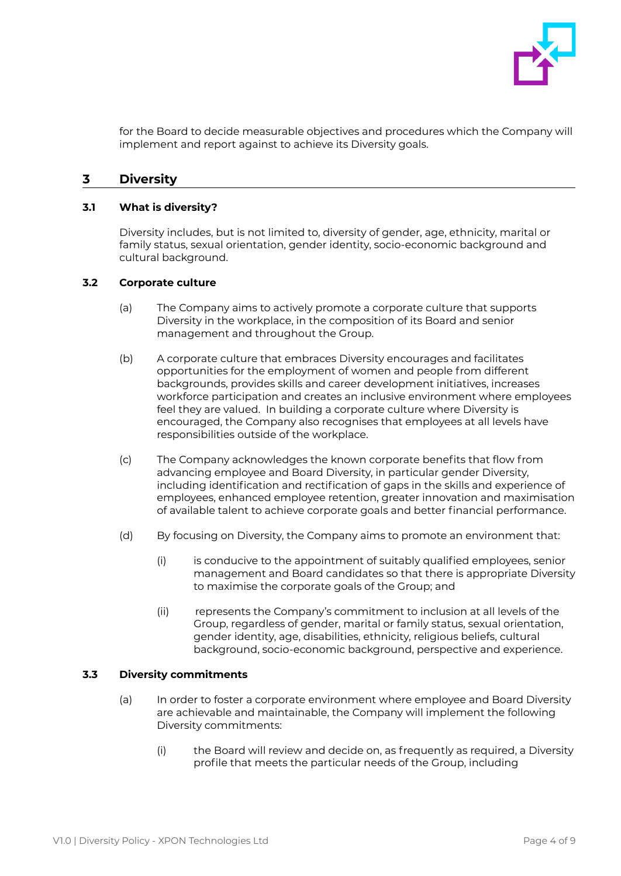

for the Board to decide measurable objectives and procedures which the Company will implement and report against to achieve its Diversity goals.

# <span id="page-3-0"></span>**3 Diversity**

#### <span id="page-3-1"></span>**3.1 What is diversity?**

Diversity includes, but is not limited to, diversity of gender, age, ethnicity, marital or family status, sexual orientation, gender identity, socio-economic background and cultural background.

#### <span id="page-3-2"></span>**3.2 Corporate culture**

- (a) The Company aims to actively promote a corporate culture that supports Diversity in the workplace, in the composition of its Board and senior management and throughout the Group.
- (b) A corporate culture that embraces Diversity encourages and facilitates opportunities for the employment of women and people from different backgrounds, provides skills and career development initiatives, increases workforce participation and creates an inclusive environment where employees feel they are valued. In building a corporate culture where Diversity is encouraged, the Company also recognises that employees at all levels have responsibilities outside of the workplace.
- (c) The Company acknowledges the known corporate benefits that flow from advancing employee and Board Diversity, in particular gender Diversity, including identification and rectification of gaps in the skills and experience of employees, enhanced employee retention, greater innovation and maximisation of available talent to achieve corporate goals and better financial performance.
- (d) By focusing on Diversity, the Company aims to promote an environment that:
	- (i) is conducive to the appointment of suitably qualified employees, senior management and Board candidates so that there is appropriate Diversity to maximise the corporate goals of the Group; and
	- (ii) represents the Company's commitment to inclusion at all levels of the Group, regardless of gender, marital or family status, sexual orientation, gender identity, age, disabilities, ethnicity, religious beliefs, cultural background, socio-economic background, perspective and experience.

#### <span id="page-3-3"></span>**3.3 Diversity commitments**

- (a) In order to foster a corporate environment where employee and Board Diversity are achievable and maintainable, the Company will implement the following Diversity commitments:
	- (i) the Board will review and decide on, as frequently as required, a Diversity profile that meets the particular needs of the Group, including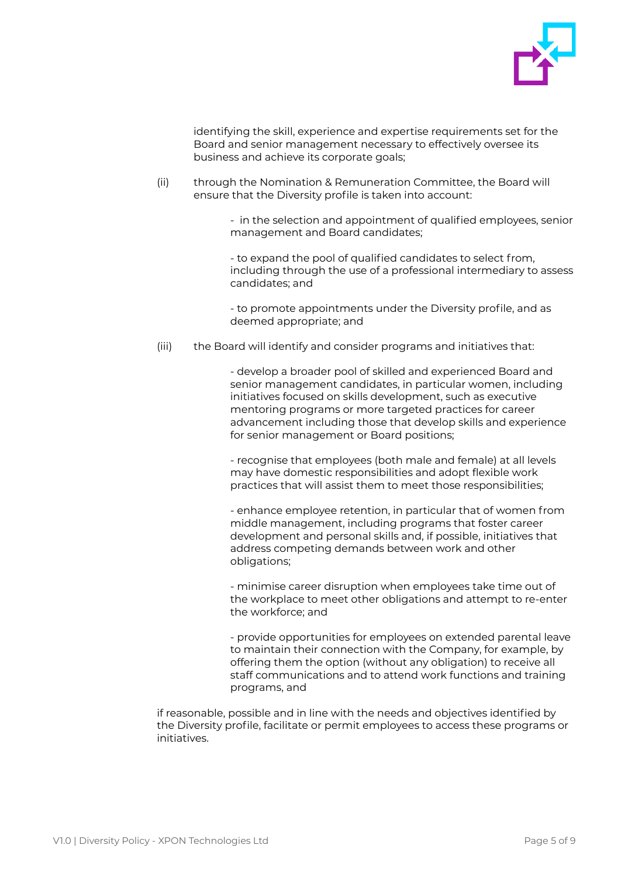

identifying the skill, experience and expertise requirements set for the Board and senior management necessary to effectively oversee its business and achieve its corporate goals;

(ii) through the Nomination & Remuneration Committee, the Board will ensure that the Diversity profile is taken into account:

> - in the selection and appointment of qualified employees, senior management and Board candidates;

> - to expand the pool of qualified candidates to select from, including through the use of a professional intermediary to assess candidates; and

 - to promote appointments under the Diversity profile, and as deemed appropriate; and

(iii) the Board will identify and consider programs and initiatives that:

 - develop a broader pool of skilled and experienced Board and senior management candidates, in particular women, including initiatives focused on skills development, such as executive mentoring programs or more targeted practices for career advancement including those that develop skills and experience for senior management or Board positions;

 - recognise that employees (both male and female) at all levels may have domestic responsibilities and adopt flexible work practices that will assist them to meet those responsibilities;

 - enhance employee retention, in particular that of women from middle management, including programs that foster career development and personal skills and, if possible, initiatives that address competing demands between work and other obligations;

 - minimise career disruption when employees take time out of the workplace to meet other obligations and attempt to re-enter the workforce; and

 - provide opportunities for employees on extended parental leave to maintain their connection with the Company, for example, by offering them the option (without any obligation) to receive all staff communications and to attend work functions and training programs, and

if reasonable, possible and in line with the needs and objectives identified by the Diversity profile, facilitate or permit employees to access these programs or initiatives.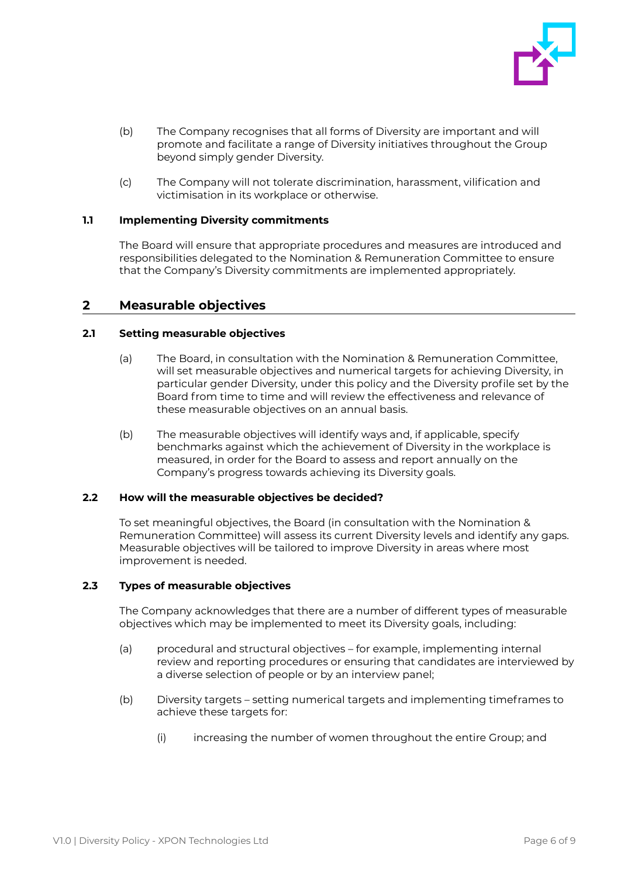

- (b) The Company recognises that all forms of Diversity are important and will promote and facilitate a range of Diversity initiatives throughout the Group beyond simply gender Diversity.
- (c) The Company will not tolerate discrimination, harassment, vilification and victimisation in its workplace or otherwise.

#### <span id="page-5-0"></span>**1.1 Implementing Diversity commitments**

The Board will ensure that appropriate procedures and measures are introduced and responsibilities delegated to the Nomination & Remuneration Committee to ensure that the Company's Diversity commitments are implemented appropriately.

# <span id="page-5-1"></span>**2 Measurable objectives**

#### <span id="page-5-2"></span>**2.1 Setting measurable objectives**

- (a) The Board, in consultation with the Nomination & Remuneration Committee, will set measurable objectives and numerical targets for achieving Diversity, in particular gender Diversity, under this policy and the Diversity profile set by the Board from time to time and will review the effectiveness and relevance of these measurable objectives on an annual basis.
- (b) The measurable objectives will identify ways and, if applicable, specify benchmarks against which the achievement of Diversity in the workplace is measured, in order for the Board to assess and report annually on the Company's progress towards achieving its Diversity goals.

#### <span id="page-5-3"></span>**2.2 How will the measurable objectives be decided?**

To set meaningful objectives, the Board (in consultation with the Nomination & Remuneration Committee) will assess its current Diversity levels and identify any gaps. Measurable objectives will be tailored to improve Diversity in areas where most improvement is needed.

#### <span id="page-5-4"></span>**2.3 Types of measurable objectives**

The Company acknowledges that there are a number of different types of measurable objectives which may be implemented to meet its Diversity goals, including:

- (a) procedural and structural objectives for example, implementing internal review and reporting procedures or ensuring that candidates are interviewed by a diverse selection of people or by an interview panel;
- (b) Diversity targets setting numerical targets and implementing timeframes to achieve these targets for:
	- (i) increasing the number of women throughout the entire Group; and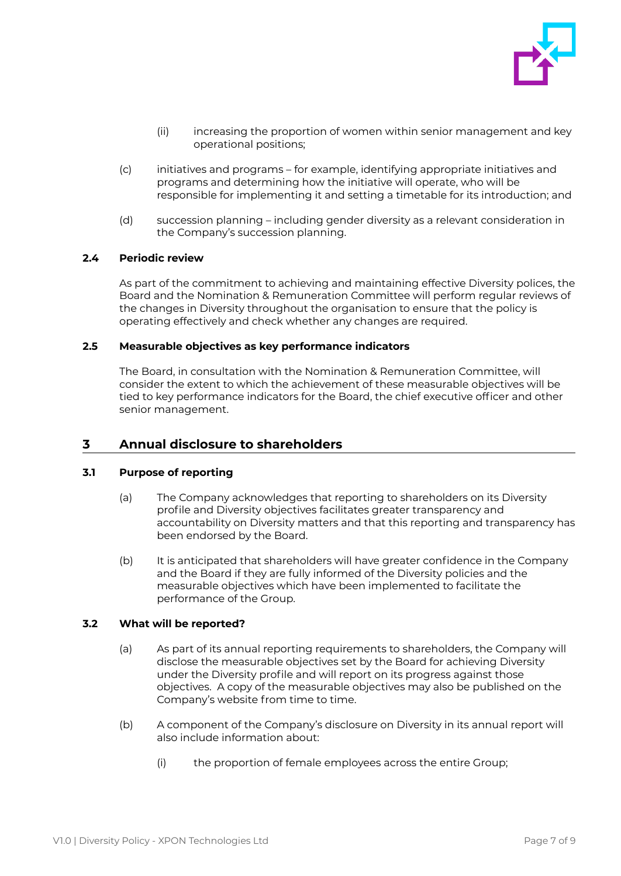

- (ii) increasing the proportion of women within senior management and key operational positions;
- (c) initiatives and programs for example, identifying appropriate initiatives and programs and determining how the initiative will operate, who will be responsible for implementing it and setting a timetable for its introduction; and
- (d) succession planning including gender diversity as a relevant consideration in the Company's succession planning.

#### <span id="page-6-0"></span>**2.4 Periodic review**

As part of the commitment to achieving and maintaining effective Diversity polices, the Board and the Nomination & Remuneration Committee will perform regular reviews of the changes in Diversity throughout the organisation to ensure that the policy is operating effectively and check whether any changes are required.

#### <span id="page-6-1"></span>**2.5 Measurable objectives as key performance indicators**

The Board, in consultation with the Nomination & Remuneration Committee, will consider the extent to which the achievement of these measurable objectives will be tied to key performance indicators for the Board, the chief executive officer and other senior management.

## <span id="page-6-2"></span>**3 Annual disclosure to shareholders**

#### <span id="page-6-3"></span>**3.1 Purpose of reporting**

- (a) The Company acknowledges that reporting to shareholders on its Diversity profile and Diversity objectives facilitates greater transparency and accountability on Diversity matters and that this reporting and transparency has been endorsed by the Board.
- (b) It is anticipated that shareholders will have greater confidence in the Company and the Board if they are fully informed of the Diversity policies and the measurable objectives which have been implemented to facilitate the performance of the Group.

#### <span id="page-6-4"></span>**3.2 What will be reported?**

- (a) As part of its annual reporting requirements to shareholders, the Company will disclose the measurable objectives set by the Board for achieving Diversity under the Diversity profile and will report on its progress against those objectives. A copy of the measurable objectives may also be published on the Company's website from time to time.
- (b) A component of the Company's disclosure on Diversity in its annual report will also include information about:
	- (i) the proportion of female employees across the entire Group;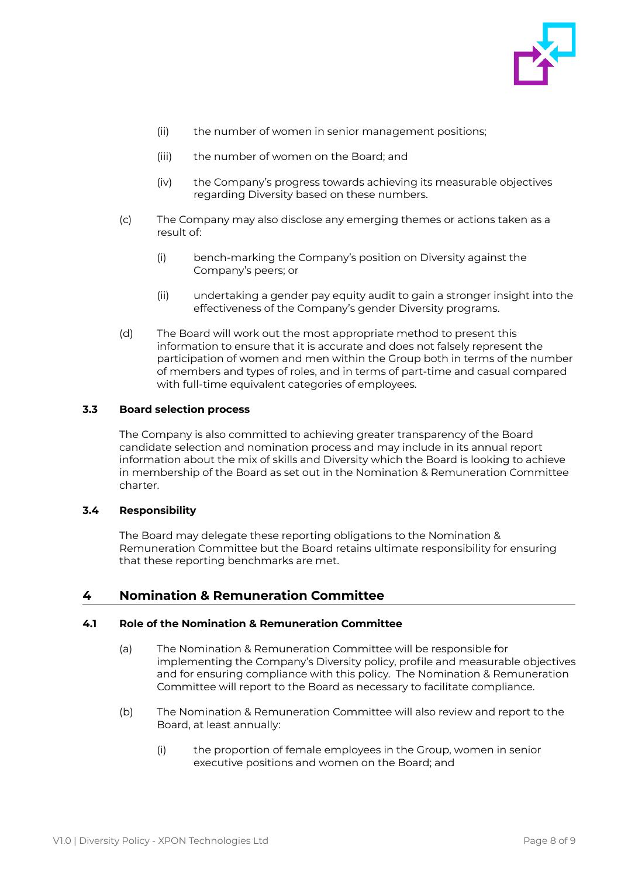

- (ii) the number of women in senior management positions;
- (iii) the number of women on the Board; and
- (iv) the Company's progress towards achieving its measurable objectives regarding Diversity based on these numbers.
- (c) The Company may also disclose any emerging themes or actions taken as a result of:
	- (i) bench-marking the Company's position on Diversity against the Company's peers; or
	- (ii) undertaking a gender pay equity audit to gain a stronger insight into the effectiveness of the Company's gender Diversity programs.
- (d) The Board will work out the most appropriate method to present this information to ensure that it is accurate and does not falsely represent the participation of women and men within the Group both in terms of the number of members and types of roles, and in terms of part-time and casual compared with full-time equivalent categories of employees.

#### <span id="page-7-0"></span>**3.3 Board selection process**

The Company is also committed to achieving greater transparency of the Board candidate selection and nomination process and may include in its annual report information about the mix of skills and Diversity which the Board is looking to achieve in membership of the Board as set out in the Nomination & Remuneration Committee charter.

#### <span id="page-7-1"></span>**3.4 Responsibility**

The Board may delegate these reporting obligations to the Nomination & Remuneration Committee but the Board retains ultimate responsibility for ensuring that these reporting benchmarks are met.

## <span id="page-7-2"></span>**4 Nomination & Remuneration Committee**

#### <span id="page-7-3"></span>**4.1 Role of the Nomination & Remuneration Committee**

- (a) The Nomination & Remuneration Committee will be responsible for implementing the Company's Diversity policy, profile and measurable objectives and for ensuring compliance with this policy. The Nomination & Remuneration Committee will report to the Board as necessary to facilitate compliance.
- (b) The Nomination & Remuneration Committee will also review and report to the Board, at least annually:
	- (i) the proportion of female employees in the Group, women in senior executive positions and women on the Board; and